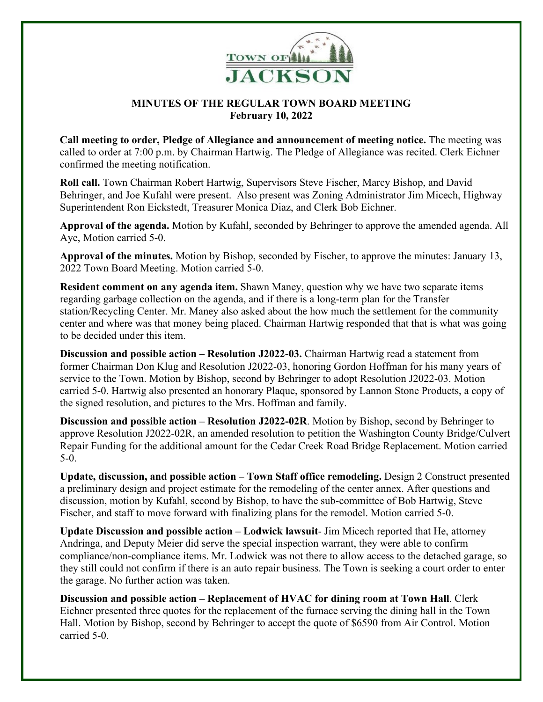

## **MINUTES OF THE REGULAR TOWN BOARD MEETING February 10, 2022**

**Call meeting to order, Pledge of Allegiance and announcement of meeting notice.** The meeting was called to order at 7:00 p.m. by Chairman Hartwig. The Pledge of Allegiance was recited. Clerk Eichner confirmed the meeting notification.

**Roll call.** Town Chairman Robert Hartwig, Supervisors Steve Fischer, Marcy Bishop, and David Behringer, and Joe Kufahl were present. Also present was Zoning Administrator Jim Micech, Highway Superintendent Ron Eickstedt, Treasurer Monica Diaz, and Clerk Bob Eichner.

**Approval of the agenda.** Motion by Kufahl, seconded by Behringer to approve the amended agenda. All Aye, Motion carried 5-0.

**Approval of the minutes.** Motion by Bishop, seconded by Fischer, to approve the minutes: January 13, 2022 Town Board Meeting. Motion carried 5-0.

**Resident comment on any agenda item.** Shawn Maney, question why we have two separate items regarding garbage collection on the agenda, and if there is a long-term plan for the Transfer station/Recycling Center. Mr. Maney also asked about the how much the settlement for the community center and where was that money being placed. Chairman Hartwig responded that that is what was going to be decided under this item.

**Discussion and possible action – Resolution J2022-03.** Chairman Hartwig read a statement from former Chairman Don Klug and Resolution J2022-03, honoring Gordon Hoffman for his many years of service to the Town. Motion by Bishop, second by Behringer to adopt Resolution J2022-03. Motion carried 5-0. Hartwig also presented an honorary Plaque, sponsored by Lannon Stone Products, a copy of the signed resolution, and pictures to the Mrs. Hoffman and family.

**Discussion and possible action – Resolution J2022-02R**. Motion by Bishop, second by Behringer to approve Resolution J2022-02R, an amended resolution to petition the Washington County Bridge/Culvert Repair Funding for the additional amount for the Cedar Creek Road Bridge Replacement. Motion carried 5-0.

**Update, discussion, and possible action – Town Staff office remodeling.** Design 2 Construct presented a preliminary design and project estimate for the remodeling of the center annex. After questions and discussion, motion by Kufahl, second by Bishop, to have the sub-committee of Bob Hartwig, Steve Fischer, and staff to move forward with finalizing plans for the remodel. Motion carried 5-0.

**Update Discussion and possible action – Lodwick lawsuit**- Jim Micech reported that He, attorney Andringa, and Deputy Meier did serve the special inspection warrant, they were able to confirm compliance/non-compliance items. Mr. Lodwick was not there to allow access to the detached garage, so they still could not confirm if there is an auto repair business. The Town is seeking a court order to enter the garage. No further action was taken.

**Discussion and possible action – Replacement of HVAC for dining room at Town Hall**. Clerk Eichner presented three quotes for the replacement of the furnace serving the dining hall in the Town Hall. Motion by Bishop, second by Behringer to accept the quote of \$6590 from Air Control. Motion carried 5-0.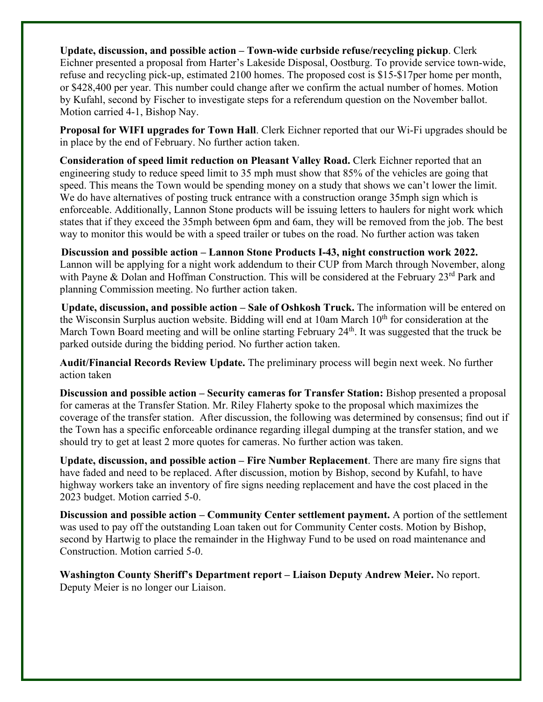**Update, discussion, and possible action – Town-wide curbside refuse/recycling pickup**. Clerk Eichner presented a proposal from Harter's Lakeside Disposal, Oostburg. To provide service town-wide, refuse and recycling pick-up, estimated 2100 homes. The proposed cost is \$15-\$17per home per month, or \$428,400 per year. This number could change after we confirm the actual number of homes. Motion by Kufahl, second by Fischer to investigate steps for a referendum question on the November ballot. Motion carried 4-1, Bishop Nay.

**Proposal for WIFI upgrades for Town Hall**. Clerk Eichner reported that our Wi-Fi upgrades should be in place by the end of February. No further action taken.

**Consideration of speed limit reduction on Pleasant Valley Road.** Clerk Eichner reported that an engineering study to reduce speed limit to 35 mph must show that 85% of the vehicles are going that speed. This means the Town would be spending money on a study that shows we can't lower the limit. We do have alternatives of posting truck entrance with a construction orange 35mph sign which is enforceable. Additionally, Lannon Stone products will be issuing letters to haulers for night work which states that if they exceed the 35mph between 6pm and 6am, they will be removed from the job. The best way to monitor this would be with a speed trailer or tubes on the road. No further action was taken

 **Discussion and possible action – Lannon Stone Products I-43, night construction work 2022.** Lannon will be applying for a night work addendum to their CUP from March through November, along with Payne & Dolan and Hoffman Construction. This will be considered at the February  $23^{\text{rd}}$  Park and planning Commission meeting. No further action taken.

 **Update, discussion, and possible action – Sale of Oshkosh Truck.** The information will be entered on the Wisconsin Surplus auction website. Bidding will end at 10am March  $10<sup>th</sup>$  for consideration at the March Town Board meeting and will be online starting February 24<sup>th</sup>. It was suggested that the truck be parked outside during the bidding period. No further action taken.

**Audit/Financial Records Review Update.** The preliminary process will begin next week. No further action taken

**Discussion and possible action – Security cameras for Transfer Station:** Bishop presented a proposal for cameras at the Transfer Station. Mr. Riley Flaherty spoke to the proposal which maximizes the coverage of the transfer station. After discussion, the following was determined by consensus; find out if the Town has a specific enforceable ordinance regarding illegal dumping at the transfer station, and we should try to get at least 2 more quotes for cameras. No further action was taken.

**Update, discussion, and possible action – Fire Number Replacement**. There are many fire signs that have faded and need to be replaced. After discussion, motion by Bishop, second by Kufahl, to have highway workers take an inventory of fire signs needing replacement and have the cost placed in the 2023 budget. Motion carried 5-0.

**Discussion and possible action – Community Center settlement payment.** A portion of the settlement was used to pay off the outstanding Loan taken out for Community Center costs. Motion by Bishop, second by Hartwig to place the remainder in the Highway Fund to be used on road maintenance and Construction. Motion carried 5-0.

**Washington County Sheriff's Department report – Liaison Deputy Andrew Meier.** No report. Deputy Meier is no longer our Liaison.